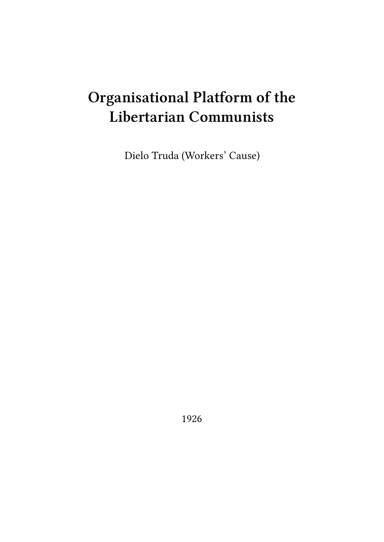# **Organisational Platform of the Libertarian Communists**

Dielo Truda (Workers' Cause)

1926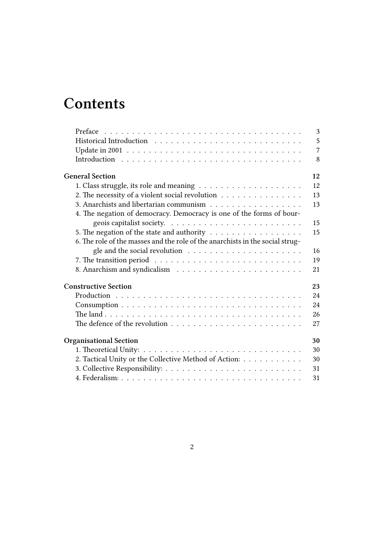# **Contents**

|                                                                               | 3              |
|-------------------------------------------------------------------------------|----------------|
|                                                                               | 5              |
|                                                                               | $\overline{7}$ |
|                                                                               | 8              |
| <b>General Section</b>                                                        | 12             |
|                                                                               | 12             |
| 2. The necessity of a violent social revolution                               | 13             |
| 3. Anarchists and libertarian communism                                       | 13             |
| 4. The negation of democracy. Democracy is one of the forms of bour-          |                |
|                                                                               | 15             |
| 5. The negation of the state and authority                                    | 15             |
| 6. The role of the masses and the role of the anarchists in the social strug- |                |
|                                                                               | 16             |
|                                                                               | 19             |
|                                                                               | 21             |
| <b>Constructive Section</b>                                                   | 23             |
|                                                                               | 24             |
|                                                                               | 24             |
|                                                                               | 26             |
|                                                                               | 27             |
| <b>Organisational Section</b>                                                 | 30             |
|                                                                               | 30             |
| 2. Tactical Unity or the Collective Method of Action:                         | 30             |
|                                                                               | 31             |
|                                                                               | 31             |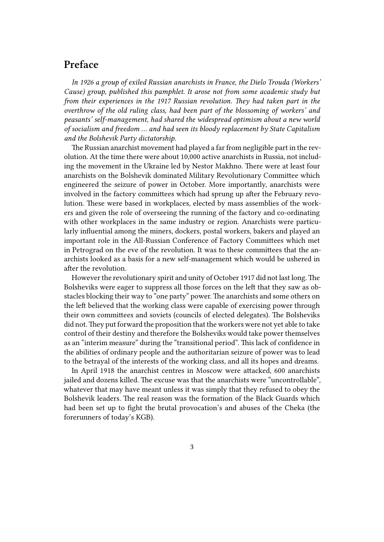# <span id="page-2-0"></span>**Preface**

*In 1926 a group of exiled Russian anarchists in France, the Dielo Trouda (Workers' Cause) group, published this pamphlet. It arose not from some academic study but from their experiences in the 1917 Russian revolution. They had taken part in the overthrow of the old ruling class, had been part of the blossoming of workers' and peasants' self-management, had shared the widespread optimism about a new world of socialism and freedom … and had seen its bloody replacement by State Capitalism and the Bolshevik Party dictatorship.*

The Russian anarchist movement had played a far from negligible part in the revolution. At the time there were about 10,000 active anarchists in Russia, not including the movement in the Ukraine led by Nestor Makhno. There were at least four anarchists on the Bolshevik dominated Military Revolutionary Committee which engineered the seizure of power in October. More importantly, anarchists were involved in the factory committees which had sprung up after the February revolution. These were based in workplaces, elected by mass assemblies of the workers and given the role of overseeing the running of the factory and co-ordinating with other workplaces in the same industry or region. Anarchists were particularly influential among the miners, dockers, postal workers, bakers and played an important role in the All-Russian Conference of Factory Committees which met in Petrograd on the eve of the revolution. It was to these committees that the anarchists looked as a basis for a new self-management which would be ushered in after the revolution.

However the revolutionary spirit and unity of October 1917 did not last long. The Bolsheviks were eager to suppress all those forces on the left that they saw as obstacles blocking their way to "one party" power. The anarchists and some others on the left believed that the working class were capable of exercising power through their own committees and soviets (councils of elected delegates). The Bolsheviks did not.They put forward the proposition that the workers were not yet able to take control of their destiny and therefore the Bolsheviks would take power themselves as an "interim measure" during the "transitional period". This lack of confidence in the abilities of ordinary people and the authoritarian seizure of power was to lead to the betrayal of the interests of the working class, and all its hopes and dreams.

In April 1918 the anarchist centres in Moscow were attacked, 600 anarchists jailed and dozens killed. The excuse was that the anarchists were "uncontrollable", whatever that may have meant unless it was simply that they refused to obey the Bolshevik leaders. The real reason was the formation of the Black Guards which had been set up to fight the brutal provocation's and abuses of the Cheka (the forerunners of today's KGB).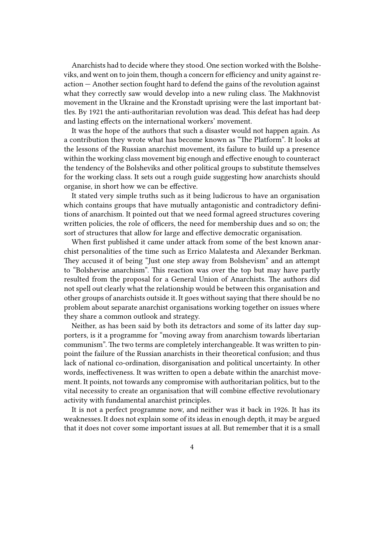Anarchists had to decide where they stood. One section worked with the Bolsheviks, and went on to join them, though a concern for efficiency and unity against reaction — Another section fought hard to defend the gains of the revolution against what they correctly saw would develop into a new ruling class. The Makhnovist movement in the Ukraine and the Kronstadt uprising were the last important battles. By 1921 the anti-authoritarian revolution was dead. This defeat has had deep and lasting effects on the international workers' movement.

It was the hope of the authors that such a disaster would not happen again. As a contribution they wrote what has become known as "The Platform". It looks at the lessons of the Russian anarchist movement, its failure to build up a presence within the working class movement big enough and effective enough to counteract the tendency of the Bolsheviks and other political groups to substitute themselves for the working class. It sets out a rough guide suggesting how anarchists should organise, in short how we can be effective.

It stated very simple truths such as it being ludicrous to have an organisation which contains groups that have mutually antagonistic and contradictory definitions of anarchism. It pointed out that we need formal agreed structures covering written policies, the role of officers, the need for membership dues and so on; the sort of structures that allow for large and effective democratic organisation.

When first published it came under attack from some of the best known anarchist personalities of the time such as Errico Malatesta and Alexander Berkman. They accused it of being "Just one step away from Bolshevism" and an attempt to "Bolshevise anarchism". This reaction was over the top but may have partly resulted from the proposal for a General Union of Anarchists. The authors did not spell out clearly what the relationship would be between this organisation and other groups of anarchists outside it. It goes without saying that there should be no problem about separate anarchist organisations working together on issues where they share a common outlook and strategy.

Neither, as has been said by both its detractors and some of its latter day supporters, is it a programme for "moving away from anarchism towards libertarian communism". The two terms are completely interchangeable. It was written to pinpoint the failure of the Russian anarchists in their theoretical confusion; and thus lack of national co-ordination, disorganisation and political uncertainty. In other words, ineffectiveness. It was written to open a debate within the anarchist movement. It points, not towards any compromise with authoritarian politics, but to the vital necessity to create an organisation that will combine effective revolutionary activity with fundamental anarchist principles.

It is not a perfect programme now, and neither was it back in 1926. It has its weaknesses. It does not explain some of its ideas in enough depth, it may be argued that it does not cover some important issues at all. But remember that it is a small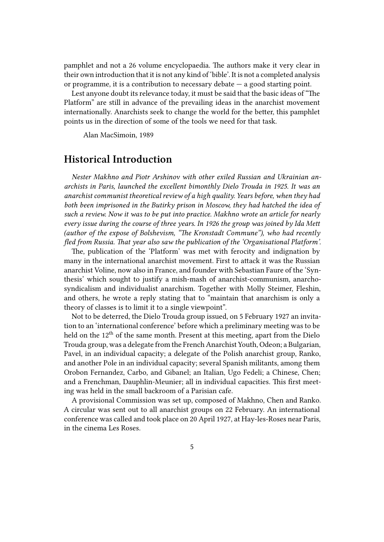pamphlet and not a 26 volume encyclopaedia. The authors make it very clear in their own introduction that it is not any kind of 'bible'. It is not a completed analysis or programme, it is a contribution to necessary debate  $-$  a good starting point.

Lest anyone doubt its relevance today, it must be said that the basic ideas of "The Platform" are still in advance of the prevailing ideas in the anarchist movement internationally. Anarchists seek to change the world for the better, this pamphlet points us in the direction of some of the tools we need for that task.

Alan MacSimoin, 1989

#### <span id="page-4-0"></span>**Historical Introduction**

*Nester Makhno and Piotr Arshinov with other exiled Russian and Ukrainian anarchists in Paris, launched the excellent bimonthly Dielo Trouda in 1925. It was an anarchist communist theoretical review of a high quality. Years before, when they had both been imprisoned in the Butirky prison in Moscow, they had hatched the idea of such a review. Now it was to be put into practice. Makhno wrote an article for nearly every issue during the course of three years. In 1926 the group was joined by Ida Mett (author of the expose of Bolshevism, "The Kronstadt Commune"), who had recently fled from Russia. That year also saw the publication of the 'Organisational Platform'.*

The, publication of the 'Platform' was met with ferocity and indignation by many in the international anarchist movement. First to attack it was the Russian anarchist Voline, now also in France, and founder with Sebastian Faure of the 'Synthesis' which sought to justify a mish-mash of anarchist-communism, anarchosyndicalism and individualist anarchism. Together with Molly Steimer, Fleshin, and others, he wrote a reply stating that to "maintain that anarchism is only a theory of classes is to limit it to a single viewpoint".

Not to be deterred, the Dielo Trouda group issued, on 5 February 1927 an invitation to an 'international conference' before which a preliminary meeting was to be held on the 12<sup>th</sup> of the same month. Present at this meeting, apart from the Dielo Trouda group, was a delegate from the French Anarchist Youth, Odeon; a Bulgarian, Pavel, in an individual capacity; a delegate of the Polish anarchist group, Ranko, and another Pole in an individual capacity; several Spanish militants, among them Orobon Fernandez, Carbo, and Gibanel; an Italian, Ugo Fedeli; a Chinese, Chen; and a Frenchman, Dauphlin-Meunier; all in individual capacities. This first meeting was held in the small backroom of a Parisian cafe.

A provisional Commission was set up, composed of Makhno, Chen and Ranko. A circular was sent out to all anarchist groups on 22 February. An international conference was called and took place on 20 April 1927, at Hay-les-Roses near Paris, in the cinema Les Roses.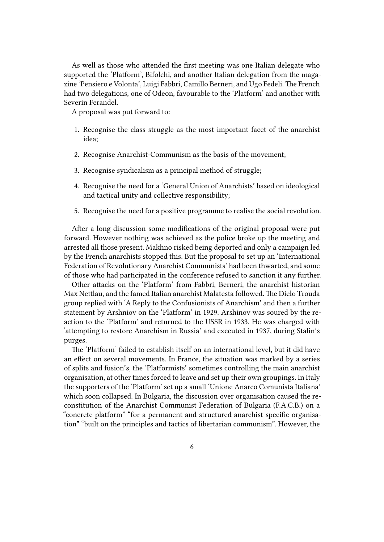As well as those who attended the first meeting was one Italian delegate who supported the 'Platform', Bifolchi, and another Italian delegation from the magazine 'Pensiero e Volonta', Luigi Fabbri, Camillo Berneri, and Ugo Fedeli. The French had two delegations, one of Odeon, favourable to the 'Platform' and another with Severin Ferandel.

A proposal was put forward to:

- 1. Recognise the class struggle as the most important facet of the anarchist idea;
- 2. Recognise Anarchist-Communism as the basis of the movement;
- 3. Recognise syndicalism as a principal method of struggle;
- 4. Recognise the need for a 'General Union of Anarchists' based on ideological and tactical unity and collective responsibility;
- 5. Recognise the need for a positive programme to realise the social revolution.

After a long discussion some modifications of the original proposal were put forward. However nothing was achieved as the police broke up the meeting and arrested all those present. Makhno risked being deported and only a campaign led by the French anarchists stopped this. But the proposal to set up an 'International Federation of Revolutionary Anarchist Communists' had been thwarted, and some of those who had participated in the conference refused to sanction it any further.

Other attacks on the 'Platform' from Fabbri, Berneri, the anarchist historian Max Nettlau, and the famed Italian anarchist Malatesta followed. The Dielo Trouda group replied with 'A Reply to the Confusionists of Anarchism' and then a further statement by Arshniov on the 'Platform' in 1929. Arshinov was soured by the reaction to the 'Platform' and returned to the USSR in 1933. He was charged with 'attempting to restore Anarchism in Russia' and executed in 1937, during Stalin's purges.

The 'Platform' failed to establish itself on an international level, but it did have an effect on several movements. In France, the situation was marked by a series of splits and fusion's, the 'Platformists' sometimes controlling the main anarchist organisation, at other times forced to leave and set up their own groupings. In Italy the supporters of the 'Platform' set up a small 'Unione Anarco Comunista Italiana' which soon collapsed. In Bulgaria, the discussion over organisation caused the reconstitution of the Anarchist Communist Federation of Bulgaria (F.A.C.B.) on a "concrete platform" "for a permanent and structured anarchist specific organisation" "built on the principles and tactics of libertarian communism". However, the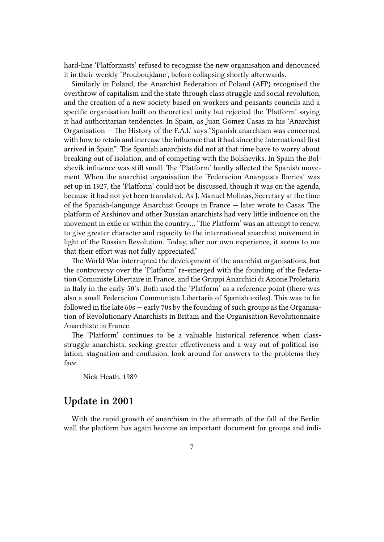hard-line 'Platformists' refused to recognise the new organisation and denounced it in their weekly 'Prouboujdane', before collapsing shortly afterwards.

Similarly in Poland, the Anarchist Federation of Poland (AFP) recognised the overthrow of capitalism and the state through class struggle and social revolution, and the creation of a new society based on workers and peasants councils and a specific organisation built on theoretical unity but rejected the 'Platform' saying it had authoritarian tendencies. In Spain, as Juan Gomez Casas in his 'Anarchist Organisation — The History of the F.A.I.' says "Spanish anarchism was concerned with how to retain and increase the influence that it had since the International first arrived in Spain". The Spanish anarchists did not at that time have to worry about breaking out of isolation, and of competing with the Bolsheviks. In Spain the Bolshevik influence was still small. The 'Platform' hardly affected the Spanish movement. When the anarchist organisation the 'Federacion Anarquista Iberica' was set up in 1927, the 'Platform' could not be discussed, though it was on the agenda, because it had not yet been translated. As J. Manuel Molinas, Secretary at the time of the Spanish-language Anarchist Groups in France — later wrote to Casas 'The platform of Arshinov and other Russian anarchists had very little influence on the movement in exile or within the country… 'The Platform' was an attempt to renew, to give greater character and capacity to the international anarchist movement in light of the Russian Revolution. Today, after our own experience, it seems to me that their effort was not fully appreciated."

The World War interrupted the development of the anarchist organisations, but the controversy over the 'Platform' re-emerged with the founding of the Federation Comuniste Libertaire in France, and the Gruppi Anarchici di Azione Proletaria in Italy in the early 50's. Both used the 'Platform' as a reference point (there was also a small Federacion Communista Libertaria of Spanish exiles). This was to be followed in the late  $60s -$  early 70s by the founding of such groups as the Organisation of Revolutionary Anarchists in Britain and the Organisation Revolutionnaire Anarchiste in France.

The 'Platform' continues to be a valuable historical reference when classstruggle anarchists, seeking greater effectiveness and a way out of political isolation, stagnation and confusion, look around for answers to the problems they face.

Nick Heath, 1989

#### <span id="page-6-0"></span>**Update in 2001**

With the rapid growth of anarchism in the aftermath of the fall of the Berlin wall the platform has again become an important document for groups and indi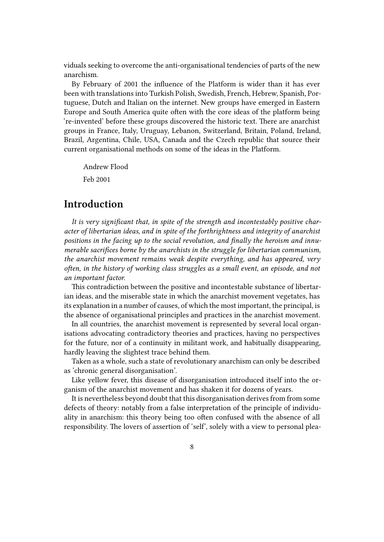viduals seeking to overcome the anti-organisational tendencies of parts of the new anarchism.

By February of 2001 the influence of the Platform is wider than it has ever been with translations into Turkish Polish, Swedish, French, Hebrew, Spanish, Portuguese, Dutch and Italian on the internet. New groups have emerged in Eastern Europe and South America quite often with the core ideas of the platform being 're-invented' before these groups discovered the historic text. There are anarchist groups in France, Italy, Uruguay, Lebanon, Switzerland, Britain, Poland, Ireland, Brazil, Argentina, Chile, USA, Canada and the Czech republic that source their current organisational methods on some of the ideas in the Platform.

Andrew Flood

Feb 2001

#### <span id="page-7-0"></span>**Introduction**

*It is very significant that, in spite of the strength and incontestably positive character of libertarian ideas, and in spite of the forthrightness and integrity of anarchist positions in the facing up to the social revolution, and finally the heroism and innumerable sacrifices borne by the anarchists in the struggle for libertarian communism, the anarchist movement remains weak despite everything, and has appeared, very often, in the history of working class struggles as a small event, an episode, and not an important factor.*

This contradiction between the positive and incontestable substance of libertarian ideas, and the miserable state in which the anarchist movement vegetates, has its explanation in a number of causes, of which the most important, the principal, is the absence of organisational principles and practices in the anarchist movement.

In all countries, the anarchist movement is represented by several local organisations advocating contradictory theories and practices, having no perspectives for the future, nor of a continuity in militant work, and habitually disappearing, hardly leaving the slightest trace behind them.

Taken as a whole, such a state of revolutionary anarchism can only be described as 'chronic general disorganisation'.

Like yellow fever, this disease of disorganisation introduced itself into the organism of the anarchist movement and has shaken it for dozens of years.

It is nevertheless beyond doubt that this disorganisation derives from from some defects of theory: notably from a false interpretation of the principle of individuality in anarchism: this theory being too often confused with the absence of all responsibility. The lovers of assertion of 'self', solely with a view to personal plea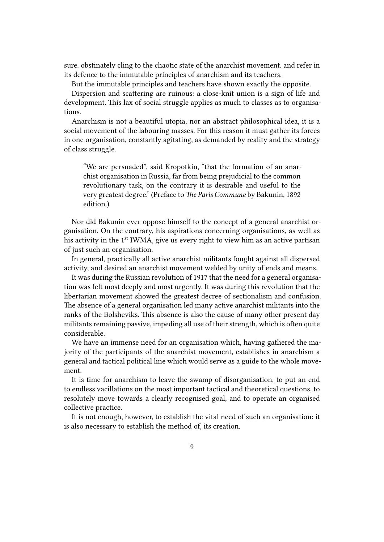sure. obstinately cling to the chaotic state of the anarchist movement. and refer in its defence to the immutable principles of anarchism and its teachers.

But the immutable principles and teachers have shown exactly the opposite.

Dispersion and scattering are ruinous: a close-knit union is a sign of life and development. This lax of social struggle applies as much to classes as to organisations.

Anarchism is not a beautiful utopia, nor an abstract philosophical idea, it is a social movement of the labouring masses. For this reason it must gather its forces in one organisation, constantly agitating, as demanded by reality and the strategy of class struggle.

"We are persuaded", said Kropotkin, "that the formation of an anarchist organisation in Russia, far from being prejudicial to the common revolutionary task, on the contrary it is desirable and useful to the very greatest degree." (Preface to *The Paris Commune* by Bakunin, 1892 edition.)

Nor did Bakunin ever oppose himself to the concept of a general anarchist organisation. On the contrary, his aspirations concerning organisations, as well as his activity in the  $1<sup>st</sup> IWMA$ , give us every right to view him as an active partisan of just such an organisation.

In general, practically all active anarchist militants fought against all dispersed activity, and desired an anarchist movement welded by unity of ends and means.

It was during the Russian revolution of 1917 that the need for a general organisation was felt most deeply and most urgently. It was during this revolution that the libertarian movement showed the greatest decree of sectionalism and confusion. The absence of a general organisation led many active anarchist militants into the ranks of the Bolsheviks. This absence is also the cause of many other present day militants remaining passive, impeding all use of their strength, which is often quite considerable.

We have an immense need for an organisation which, having gathered the majority of the participants of the anarchist movement, establishes in anarchism a general and tactical political line which would serve as a guide to the whole movement.

It is time for anarchism to leave the swamp of disorganisation, to put an end to endless vacillations on the most important tactical and theoretical questions, to resolutely move towards a clearly recognised goal, and to operate an organised collective practice.

It is not enough, however, to establish the vital need of such an organisation: it is also necessary to establish the method of, its creation.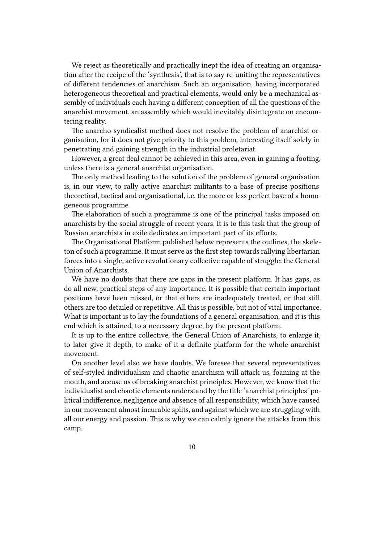We reject as theoretically and practically inept the idea of creating an organisation after the recipe of the 'synthesis', that is to say re-uniting the representatives of different tendencies of anarchism. Such an organisation, having incorporated heterogeneous theoretical and practical elements, would only be a mechanical assembly of individuals each having a different conception of all the questions of the anarchist movement, an assembly which would inevitably disintegrate on encountering reality.

The anarcho-syndicalist method does not resolve the problem of anarchist organisation, for it does not give priority to this problem, interesting itself solely in penetrating and gaining strength in the industrial proletariat.

However, a great deal cannot be achieved in this area, even in gaining a footing, unless there is a general anarchist organisation.

The only method leading to the solution of the problem of general organisation is, in our view, to rally active anarchist militants to a base of precise positions: theoretical, tactical and organisational, i.e. the more or less perfect base of a homogeneous programme.

The elaboration of such a programme is one of the principal tasks imposed on anarchists by the social struggle of recent years. It is to this task that the group of Russian anarchists in exile dedicates an important part of its efforts.

The Organisational Platform published below represents the outlines, the skeleton of such a programme. It must serve as the first step towards rallying libertarian forces into a single, active revolutionary collective capable of struggle: the General Union of Anarchists.

We have no doubts that there are gaps in the present platform. It has gaps, as do all new, practical steps of any importance. It is possible that certain important positions have been missed, or that others are inadequately treated, or that still others are too detailed or repetitive. All this is possible, but not of vital importance. What is important is to lay the foundations of a general organisation, and it is this end which is attained, to a necessary degree, by the present platform.

It is up to the entire collective, the General Union of Anarchists, to enlarge it, to later give it depth, to make of it a definite platform for the whole anarchist movement.

On another level also we have doubts. We foresee that several representatives of self-styled individualism and chaotic anarchism will attack us, foaming at the mouth, and accuse us of breaking anarchist principles. However, we know that the individualist and chaotic elements understand by the title 'anarchist principles' political indifference, negligence and absence of all responsibility, which have caused in our movement almost incurable splits, and against which we are struggling with all our energy and passion. This is why we can calmly ignore the attacks from this camp.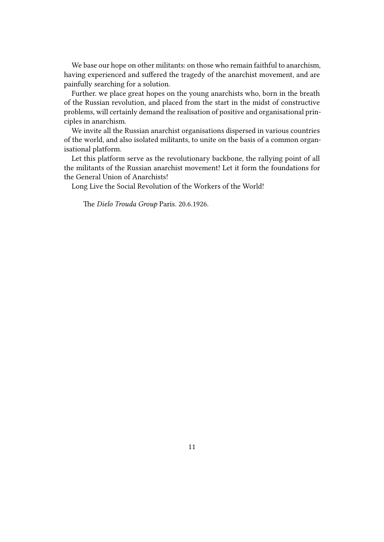We base our hope on other militants: on those who remain faithful to anarchism, having experienced and suffered the tragedy of the anarchist movement, and are painfully searching for a solution.

Further. we place great hopes on the young anarchists who, born in the breath of the Russian revolution, and placed from the start in the midst of constructive problems, will certainly demand the realisation of positive and organisational principles in anarchism.

We invite all the Russian anarchist organisations dispersed in various countries of the world, and also isolated militants, to unite on the basis of a common organisational platform.

Let this platform serve as the revolutionary backbone, the rallying point of all the militants of the Russian anarchist movement! Let it form the foundations for the General Union of Anarchists!

Long Live the Social Revolution of the Workers of the World!

The *Dielo Trouda Group* Paris. 20.6.1926.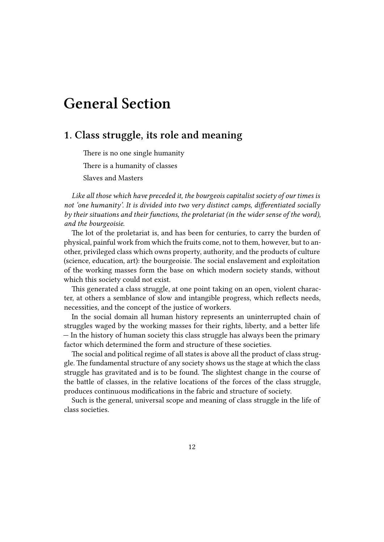# <span id="page-11-0"></span>**General Section**

# <span id="page-11-1"></span>**1. Class struggle, its role and meaning**

There is no one single humanity

There is a humanity of classes

Slaves and Masters

*Like all those which have preceded it, the bourgeois capitalist society of our times is not 'one humanity'. It is divided into two very distinct camps, differentiated socially by their situations and their functions, the proletariat (in the wider sense of the word), and the bourgeoisie.*

The lot of the proletariat is, and has been for centuries, to carry the burden of physical, painful work from which the fruits come, not to them, however, but to another, privileged class which owns property, authority, and the products of culture (science, education, art): the bourgeoisie. The social enslavement and exploitation of the working masses form the base on which modern society stands, without which this society could not exist.

This generated a class struggle, at one point taking on an open, violent character, at others a semblance of slow and intangible progress, which reflects needs, necessities, and the concept of the justice of workers.

In the social domain all human history represents an uninterrupted chain of struggles waged by the working masses for their rights, liberty, and a better life — In the history of human society this class struggle has always been the primary factor which determined the form and structure of these societies.

The social and political regime of all states is above all the product of class struggle. The fundamental structure of any society shows us the stage at which the class struggle has gravitated and is to be found. The slightest change in the course of the battle of classes, in the relative locations of the forces of the class struggle, produces continuous modifications in the fabric and structure of society.

Such is the general, universal scope and meaning of class struggle in the life of class societies.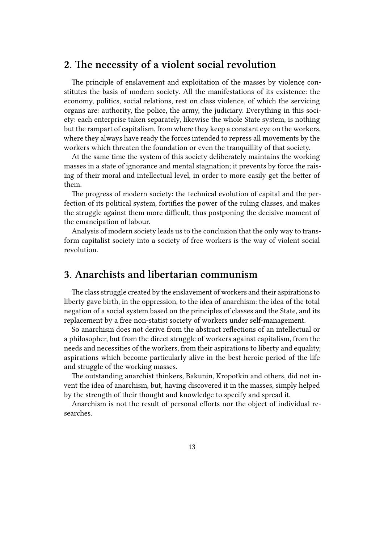### <span id="page-12-0"></span>**2. The necessity of a violent social revolution**

The principle of enslavement and exploitation of the masses by violence constitutes the basis of modern society. All the manifestations of its existence: the economy, politics, social relations, rest on class violence, of which the servicing organs are: authority, the police, the army, the judiciary. Everything in this society: each enterprise taken separately, likewise the whole State system, is nothing but the rampart of capitalism, from where they keep a constant eye on the workers, where they always have ready the forces intended to repress all movements by the workers which threaten the foundation or even the tranquillity of that society.

At the same time the system of this society deliberately maintains the working masses in a state of ignorance and mental stagnation; it prevents by force the raising of their moral and intellectual level, in order to more easily get the better of them.

The progress of modern society: the technical evolution of capital and the perfection of its political system, fortifies the power of the ruling classes, and makes the struggle against them more difficult, thus postponing the decisive moment of the emancipation of labour.

Analysis of modern society leads us to the conclusion that the only way to transform capitalist society into a society of free workers is the way of violent social revolution.

#### <span id="page-12-1"></span>**3. Anarchists and libertarian communism**

The class struggle created by the enslavement of workers and their aspirations to liberty gave birth, in the oppression, to the idea of anarchism: the idea of the total negation of a social system based on the principles of classes and the State, and its replacement by a free non-statist society of workers under self-management.

So anarchism does not derive from the abstract reflections of an intellectual or a philosopher, but from the direct struggle of workers against capitalism, from the needs and necessities of the workers, from their aspirations to liberty and equality, aspirations which become particularly alive in the best heroic period of the life and struggle of the working masses.

The outstanding anarchist thinkers, Bakunin, Kropotkin and others, did not invent the idea of anarchism, but, having discovered it in the masses, simply helped by the strength of their thought and knowledge to specify and spread it.

Anarchism is not the result of personal efforts nor the object of individual researches.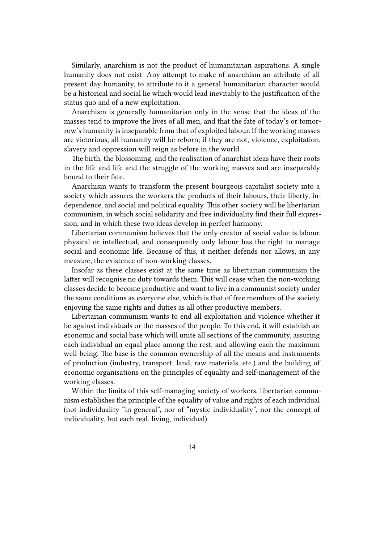Similarly, anarchism is not the product of humanitarian aspirations. A single humanity does not exist. Any attempt to make of anarchism an attribute of all present day humanity, to attribute to it a general humanitarian character would be a historical and social lie which would lead inevitably to the justification of the status quo and of a new exploitation.

Anarchism is generally humanitarian only in the sense that the ideas of the masses tend to improve the lives of all men, and that the fate of today's or tomorrow's humanity is inseparable from that of exploited labour. If the working masses are victorious, all humanity will be reborn; if they are not, violence, exploitation, slavery and oppression will reign as before in the world.

The birth, the blossoming, and the realisation of anarchist ideas have their roots in the life and life and the struggle of the working masses and are inseparably bound to their fate.

Anarchism wants to transform the present bourgeois capitalist society into a society which assures the workers the products of their labours, their liberty, independence, and social and political equality. This other society will be libertarian communism, in which social solidarity and free individuality find their full expression, and in which these two ideas develop in perfect harmony.

Libertarian communism believes that the only creator of social value is labour, physical or intellectual, and consequently only labour has the right to manage social and economic life. Because of this, it neither defends nor allows, in any measure, the existence of non-working classes.

Insofar as these classes exist at the same time as libertarian communism the latter will recognise no duty towards them. This will cease when the non-working classes decide to become productive and want to live in a communist society under the same conditions as everyone else, which is that of free members of the society, enjoying the same rights and duties as all other productive members.

Libertarian communism wants to end all exploitation and violence whether it be against individuals or the masses of the people. To this end, it will establish an economic and social base which will unite all sections of the community, assuring each individual an equal place among the rest, and allowing each the maximum well-being. The base is the common ownership of all the means and instruments of production (industry, transport, land, raw materials, etc.) and the building of economic organisations on the principles of equality and self-management of the working classes.

Within the limits of this self-managing society of workers, libertarian communism establishes the principle of the equality of value and rights of each individual (not individuality "in general", nor of "mystic individuality", nor the concept of individuality, but each real, living, individual).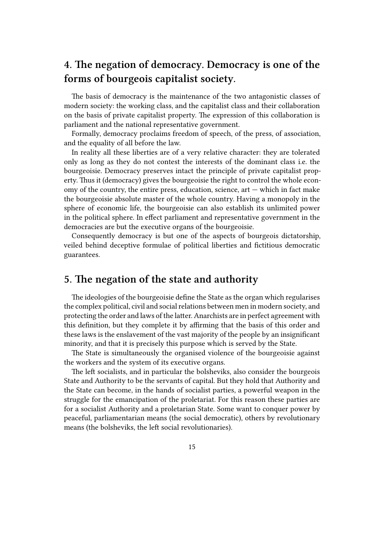# <span id="page-14-0"></span>**4. The negation of democracy. Democracy is one of the forms of bourgeois capitalist society.**

The basis of democracy is the maintenance of the two antagonistic classes of modern society: the working class, and the capitalist class and their collaboration on the basis of private capitalist property. The expression of this collaboration is parliament and the national representative government.

Formally, democracy proclaims freedom of speech, of the press, of association, and the equality of all before the law.

In reality all these liberties are of a very relative character: they are tolerated only as long as they do not contest the interests of the dominant class i.e. the bourgeoisie. Democracy preserves intact the principle of private capitalist property. Thus it (democracy) gives the bourgeoisie the right to control the whole economy of the country, the entire press, education, science,  $art -$  which in fact make the bourgeoisie absolute master of the whole country. Having a monopoly in the sphere of economic life, the bourgeoisie can also establish its unlimited power in the political sphere. In effect parliament and representative government in the democracies are but the executive organs of the bourgeoisie.

Consequently democracy is but one of the aspects of bourgeois dictatorship, veiled behind deceptive formulae of political liberties and fictitious democratic guarantees.

# <span id="page-14-1"></span>**5. The negation of the state and authority**

The ideologies of the bourgeoisie define the State as the organ which regularises the complex political, civil and social relations between men in modern society, and protecting the order and laws of the latter. Anarchists are in perfect agreement with this definition, but they complete it by affirming that the basis of this order and these laws is the enslavement of the vast majority of the people by an insignificant minority, and that it is precisely this purpose which is served by the State.

The State is simultaneously the organised violence of the bourgeoisie against the workers and the system of its executive organs.

The left socialists, and in particular the bolsheviks, also consider the bourgeois State and Authority to be the servants of capital. But they hold that Authority and the State can become, in the hands of socialist parties, a powerful weapon in the struggle for the emancipation of the proletariat. For this reason these parties are for a socialist Authority and a proletarian State. Some want to conquer power by peaceful, parliamentarian means (the social democratic), others by revolutionary means (the bolsheviks, the left social revolutionaries).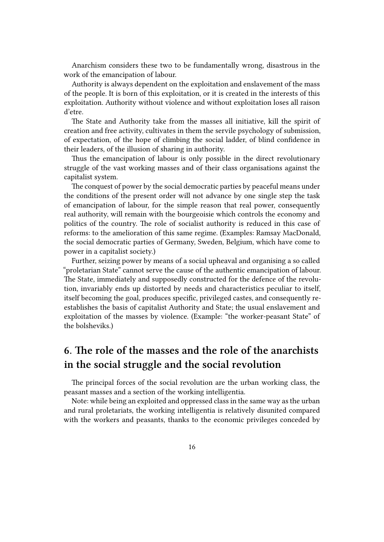Anarchism considers these two to be fundamentally wrong, disastrous in the work of the emancipation of labour.

Authority is always dependent on the exploitation and enslavement of the mass of the people. It is born of this exploitation, or it is created in the interests of this exploitation. Authority without violence and without exploitation loses all raison d'etre.

The State and Authority take from the masses all initiative, kill the spirit of creation and free activity, cultivates in them the servile psychology of submission, of expectation, of the hope of climbing the social ladder, of blind confidence in their leaders, of the illusion of sharing in authority.

Thus the emancipation of labour is only possible in the direct revolutionary struggle of the vast working masses and of their class organisations against the capitalist system.

The conquest of power by the social democratic parties by peaceful means under the conditions of the present order will not advance by one single step the task of emancipation of labour, for the simple reason that real power, consequently real authority, will remain with the bourgeoisie which controls the economy and politics of the country. The role of socialist authority is reduced in this case of reforms: to the amelioration of this same regime. (Examples: Ramsay MacDonald, the social democratic parties of Germany, Sweden, Belgium, which have come to power in a capitalist society.)

Further, seizing power by means of a social upheaval and organising a so called "proletarian State" cannot serve the cause of the authentic emancipation of labour. The State, immediately and supposedly constructed for the defence of the revolution, invariably ends up distorted by needs and characteristics peculiar to itself, itself becoming the goal, produces specific, privileged castes, and consequently reestablishes the basis of capitalist Authority and State; the usual enslavement and exploitation of the masses by violence. (Example: "the worker-peasant State" of the bolsheviks.)

# <span id="page-15-0"></span>**6. The role of the masses and the role of the anarchists in the social struggle and the social revolution**

The principal forces of the social revolution are the urban working class, the peasant masses and a section of the working intelligentia.

Note: while being an exploited and oppressed class in the same way as the urban and rural proletariats, the working intelligentia is relatively disunited compared with the workers and peasants, thanks to the economic privileges conceded by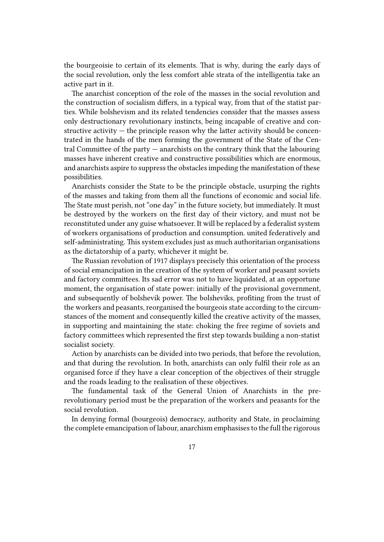the bourgeoisie to certain of its elements. That is why, during the early days of the social revolution, only the less comfort able strata of the intelligentia take an active part in it.

The anarchist conception of the role of the masses in the social revolution and the construction of socialism differs, in a typical way, from that of the statist parties. While bolshevism and its related tendencies consider that the masses assess only destructionary revolutionary instincts, being incapable of creative and constructive activity  $-$  the principle reason why the latter activity should be concentrated in the hands of the men forming the government of the State of the Central Committee of the party — anarchists on the contrary think that the labouring masses have inherent creative and constructive possibilities which are enormous, and anarchists aspire to suppress the obstacles impeding the manifestation of these possibilities.

Anarchists consider the State to be the principle obstacle, usurping the rights of the masses and taking from them all the functions of economic and social life. The State must perish, not "one day" in the future society, but immediately. It must be destroyed by the workers on the first day of their victory, and must not be reconstituted under any guise whatsoever. It will be replaced by a federalist system of workers organisations of production and consumption. united federatively and self-administrating. This system excludes just as much authoritarian organisations as the dictatorship of a party, whichever it might be.

The Russian revolution of 1917 displays precisely this orientation of the process of social emancipation in the creation of the system of worker and peasant soviets and factory committees. Its sad error was not to have liquidated, at an opportune moment, the organisation of state power: initially of the provisional government, and subsequently of bolshevik power. The bolsheviks, profiting from the trust of the workers and peasants, reorganised the bourgeois state according to the circumstances of the moment and consequently killed the creative activity of the masses, in supporting and maintaining the state: choking the free regime of soviets and factory committees which represented the first step towards building a non-statist socialist society.

Action by anarchists can be divided into two periods, that before the revolution, and that during the revolution. In both, anarchists can only fulfil their role as an organised force if they have a clear conception of the objectives of their struggle and the roads leading to the realisation of these objectives.

The fundamental task of the General Union of Anarchists in the prerevolutionary period must be the preparation of the workers and peasants for the social revolution.

In denying formal (bourgeois) democracy, authority and State, in proclaiming the complete emancipation of labour, anarchism emphasises to the full the rigorous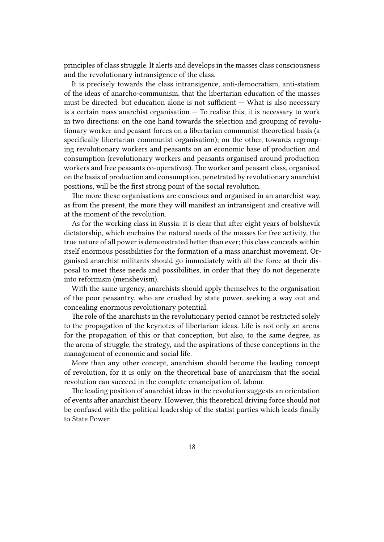principles of class struggle. It alerts and develops in the masses class consciousness and the revolutionary intransigence of the class.

It is precisely towards the class intransigence, anti-democratism, anti-statism of the ideas of anarcho-communism. that the libertarian education of the masses must be directed. but education alone is not sufficient — What is also necessary is a certain mass anarchist organisation  $-$  To realise this, it is necessary to work in two directions: on the one hand towards the selection and grouping of revolutionary worker and peasant forces on a libertarian communist theoretical basis (a specifically libertarian communist organisation); on the other, towards regrouping revolutionary workers and peasants on an economic base of production and consumption (revolutionary workers and peasants organised around production: workers and free peasants co-operatives). The worker and peasant class, organised on the basis of production and consumption, penetrated by revolutionary anarchist positions, will be the first strong point of the social revolution.

The more these organisations are conscious and organised in an anarchist way, as from the present, the more they will manifest an intransigent and creative will at the moment of the revolution.

As for the working class in Russia: it is clear that after eight years of bolshevik dictatorship, which enchains the natural needs of the masses for free activity, the true nature of all power is demonstrated better than ever; this class conceals within itself enormous possibilities for the formation of a mass anarchist movement. Organised anarchist militants should go immediately with all the force at their disposal to meet these needs and possibilities, in order that they do not degenerate into reformism (menshevism).

With the same urgency, anarchists should apply themselves to the organisation of the poor peasantry, who are crushed by state power, seeking a way out and concealing enormous revolutionary potential.

The role of the anarchists in the revolutionary period cannot be restricted solely to the propagation of the keynotes of libertarian ideas. Life is not only an arena for the propagation of this or that conception, but also, to the same degree, as the arena of struggle, the strategy, and the aspirations of these conceptions in the management of economic and social life.

More than any other concept, anarchism should become the leading concept of revolution, for it is only on the theoretical base of anarchism that the social revolution can succeed in the complete emancipation of. labour.

The leading position of anarchist ideas in the revolution suggests an orientation of events after anarchist theory. However, this theoretical driving force should not be confused with the political leadership of the statist parties which leads finally to State Power.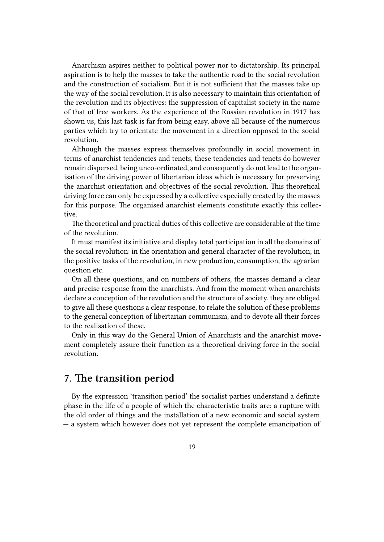Anarchism aspires neither to political power nor to dictatorship. Its principal aspiration is to help the masses to take the authentic road to the social revolution and the construction of socialism. But it is not sufficient that the masses take up the way of the social revolution. It is also necessary to maintain this orientation of the revolution and its objectives: the suppression of capitalist society in the name of that of free workers. As the experience of the Russian revolution in 1917 has shown us, this last task is far from being easy, above all because of the numerous parties which try to orientate the movement in a direction opposed to the social revolution.

Although the masses express themselves profoundly in social movement in terms of anarchist tendencies and tenets, these tendencies and tenets do however remain dispersed, being unco-ordinated, and consequently do not lead to the organisation of the driving power of libertarian ideas which is necessary for preserving the anarchist orientation and objectives of the social revolution. This theoretical driving force can only be expressed by a collective especially created by the masses for this purpose. The organised anarchist elements constitute exactly this collective.

The theoretical and practical duties of this collective are considerable at the time of the revolution.

It must manifest its initiative and display total participation in all the domains of the social revolution: in the orientation and general character of the revolution; in the positive tasks of the revolution, in new production, consumption, the agrarian question etc.

On all these questions, and on numbers of others, the masses demand a clear and precise response from the anarchists. And from the moment when anarchists declare a conception of the revolution and the structure of society, they are obliged to give all these questions a clear response, to relate the solution of these problems to the general conception of libertarian communism, and to devote all their forces to the realisation of these.

Only in this way do the General Union of Anarchists and the anarchist movement completely assure their function as a theoretical driving force in the social revolution.

#### <span id="page-18-0"></span>**7. The transition period**

By the expression 'transition period' the socialist parties understand a definite phase in the life of a people of which the characteristic traits are: a rupture with the old order of things and the installation of a new economic and social system — a system which however does not yet represent the complete emancipation of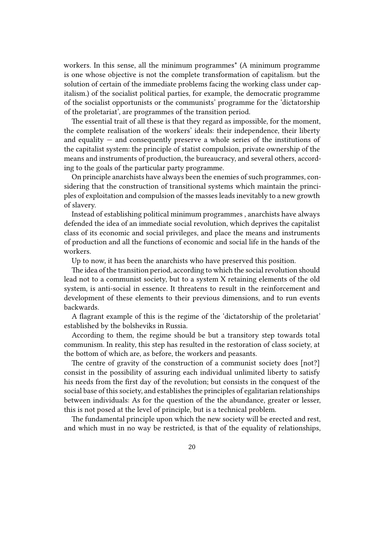workers. In this sense, all the minimum programmes\* (A minimum programme is one whose objective is not the complete transformation of capitalism. but the solution of certain of the immediate problems facing the working class under capitalism.) of the socialist political parties, for example, the democratic programme of the socialist opportunists or the communists' programme for the 'dictatorship of the proletariat', are programmes of the transition period.

The essential trait of all these is that they regard as impossible, for the moment, the complete realisation of the workers' ideals: their independence, their liberty and equality  $-$  and consequently preserve a whole series of the institutions of the capitalist system: the principle of statist compulsion, private ownership of the means and instruments of production, the bureaucracy, and several others, according to the goals of the particular party programme.

On principle anarchists have always been the enemies of such programmes, considering that the construction of transitional systems which maintain the principles of exploitation and compulsion of the masses leads inevitably to a new growth of slavery.

Instead of establishing political minimum programmes , anarchists have always defended the idea of an immediate social revolution, which deprives the capitalist class of its economic and social privileges, and place the means and instruments of production and all the functions of economic and social life in the hands of the workers.

Up to now, it has been the anarchists who have preserved this position.

The idea of the transition period, according to which the social revolution should lead not to a communist society, but to a system X retaining elements of the old system, is anti-social in essence. It threatens to result in the reinforcement and development of these elements to their previous dimensions, and to run events backwards.

A flagrant example of this is the regime of the 'dictatorship of the proletariat' established by the bolsheviks in Russia.

According to them, the regime should be but a transitory step towards total communism. In reality, this step has resulted in the restoration of class society, at the bottom of which are, as before, the workers and peasants.

The centre of gravity of the construction of a communist society does [not?] consist in the possibility of assuring each individual unlimited liberty to satisfy his needs from the first day of the revolution; but consists in the conquest of the social base of this society, and establishes the principles of egalitarian relationships between individuals: As for the question of the the abundance, greater or lesser, this is not posed at the level of principle, but is a technical problem.

The fundamental principle upon which the new society will be erected and rest, and which must in no way be restricted, is that of the equality of relationships,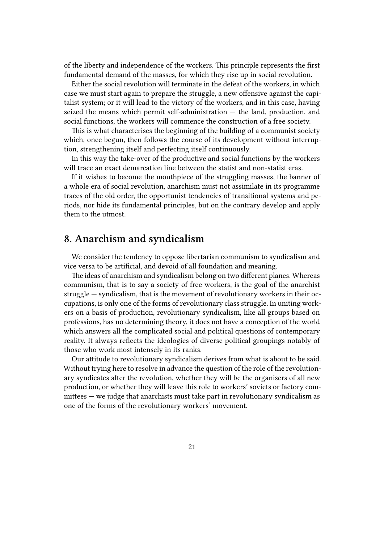of the liberty and independence of the workers. This principle represents the first fundamental demand of the masses, for which they rise up in social revolution.

Either the social revolution will terminate in the defeat of the workers, in which case we must start again to prepare the struggle, a new offensive against the capitalist system; or it will lead to the victory of the workers, and in this case, having seized the means which permit self-administration — the land, production, and social functions, the workers will commence the construction of a free society.

This is what characterises the beginning of the building of a communist society which, once begun, then follows the course of its development without interruption, strengthening itself and perfecting itself continuously.

In this way the take-over of the productive and social functions by the workers will trace an exact demarcation line between the statist and non-statist eras.

If it wishes to become the mouthpiece of the struggling masses, the banner of a whole era of social revolution, anarchism must not assimilate in its programme traces of the old order, the opportunist tendencies of transitional systems and periods, nor hide its fundamental principles, but on the contrary develop and apply them to the utmost.

#### <span id="page-20-0"></span>**8. Anarchism and syndicalism**

We consider the tendency to oppose libertarian communism to syndicalism and vice versa to be artificial, and devoid of all foundation and meaning.

The ideas of anarchism and syndicalism belong on two different planes. Whereas communism, that is to say a society of free workers, is the goal of the anarchist struggle — syndicalism, that is the movement of revolutionary workers in their occupations, is only one of the forms of revolutionary class struggle. In uniting workers on a basis of production, revolutionary syndicalism, like all groups based on professions, has no determining theory, it does not have a conception of the world which answers all the complicated social and political questions of contemporary reality. It always reflects the ideologies of diverse political groupings notably of those who work most intensely in its ranks.

Our attitude to revolutionary syndicalism derives from what is about to be said. Without trying here to resolve in advance the question of the role of the revolutionary syndicates after the revolution, whether they will be the organisers of all new production, or whether they will leave this role to workers' soviets or factory committees — we judge that anarchists must take part in revolutionary syndicalism as one of the forms of the revolutionary workers' movement.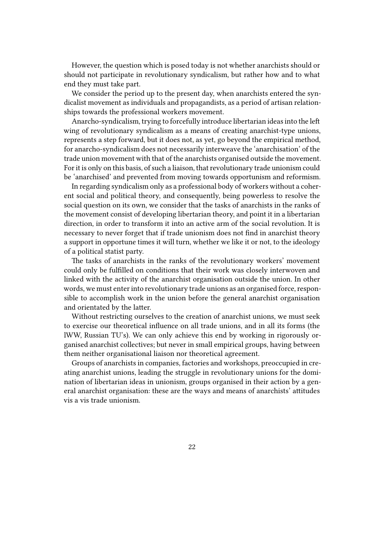However, the question which is posed today is not whether anarchists should or should not participate in revolutionary syndicalism, but rather how and to what end they must take part.

We consider the period up to the present day, when anarchists entered the syndicalist movement as individuals and propagandists, as a period of artisan relationships towards the professional workers movement.

Anarcho-syndicalism, trying to forcefully introduce libertarian ideas into the left wing of revolutionary syndicalism as a means of creating anarchist-type unions, represents a step forward, but it does not, as yet, go beyond the empirical method, for anarcho-syndicalism does not necessarily interweave the 'anarchisation' of the trade union movement with that of the anarchists organised outside the movement. For it is only on this basis, of such a liaison, that revolutionary trade unionism could be 'anarchised' and prevented from moving towards opportunism and reformism.

In regarding syndicalism only as a professional body of workers without a coherent social and political theory, and consequently, being powerless to resolve the social question on its own, we consider that the tasks of anarchists in the ranks of the movement consist of developing libertarian theory, and point it in a libertarian direction, in order to transform it into an active arm of the social revolution. It is necessary to never forget that if trade unionism does not find in anarchist theory a support in opportune times it will turn, whether we like it or not, to the ideology of a political statist party.

The tasks of anarchists in the ranks of the revolutionary workers' movement could only be fulfilled on conditions that their work was closely interwoven and linked with the activity of the anarchist organisation outside the union. In other words, we must enter into revolutionary trade unions as an organised force, responsible to accomplish work in the union before the general anarchist organisation and orientated by the latter.

Without restricting ourselves to the creation of anarchist unions, we must seek to exercise our theoretical influence on all trade unions, and in all its forms (the lWW, Russian TU's). We can only achieve this end by working in rigorously organised anarchist collectives; but never in small empirical groups, having between them neither organisational liaison nor theoretical agreement.

Groups of anarchists in companies, factories and workshops, preoccupied in creating anarchist unions, leading the struggle in revolutionary unions for the domination of libertarian ideas in unionism, groups organised in their action by a general anarchist organisation: these are the ways and means of anarchists' attitudes vis a vis trade unionism.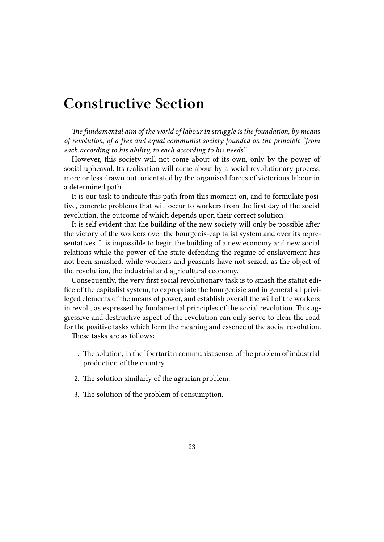# <span id="page-22-0"></span>**Constructive Section**

*The fundamental aim of the world of labour in struggle is the foundation, by means of revolution, of a free and equal communist society founded on the principle "from each according to his ability, to each according to his needs".*

However, this society will not come about of its own, only by the power of social upheaval. Its realisation will come about by a social revolutionary process, more or less drawn out, orientated by the organised forces of victorious labour in a determined path.

It is our task to indicate this path from this moment on, and to formulate positive, concrete problems that will occur to workers from the first day of the social revolution, the outcome of which depends upon their correct solution.

It is self evident that the building of the new society will only be possible after the victory of the workers over the bourgeois-capitalist system and over its representatives. It is impossible to begin the building of a new economy and new social relations while the power of the state defending the regime of enslavement has not been smashed, while workers and peasants have not seized, as the object of the revolution, the industrial and agricultural economy.

Consequently, the very first social revolutionary task is to smash the statist edifice of the capitalist system, to expropriate the bourgeoisie and in general all privileged elements of the means of power, and establish overall the will of the workers in revolt, as expressed by fundamental principles of the social revolution. This aggressive and destructive aspect of the revolution can only serve to clear the road for the positive tasks which form the meaning and essence of the social revolution.

These tasks are as follows:

- 1. The solution, in the libertarian communist sense, of the problem of industrial production of the country.
- 2. The solution similarly of the agrarian problem.
- 3. The solution of the problem of consumption.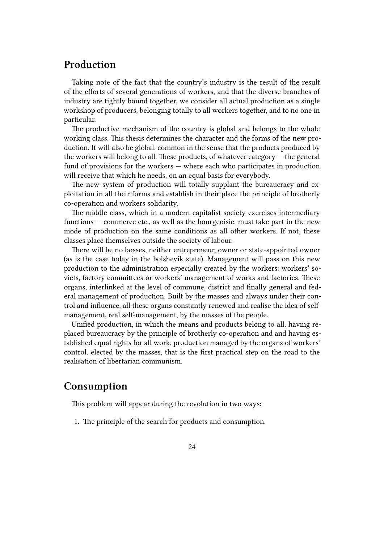### <span id="page-23-0"></span>**Production**

Taking note of the fact that the country's industry is the result of the result of the efforts of several generations of workers, and that the diverse branches of industry are tightly bound together, we consider all actual production as a single workshop of producers, belonging totally to all workers together, and to no one in particular.

The productive mechanism of the country is global and belongs to the whole working class. This thesis determines the character and the forms of the new production. It will also be global, common in the sense that the products produced by the workers will belong to all. These products, of whatever category — the general fund of provisions for the workers — where each who participates in production will receive that which he needs, on an equal basis for everybody.

The new system of production will totally supplant the bureaucracy and exploitation in all their forms and establish in their place the principle of brotherly co-operation and workers solidarity.

The middle class, which in a modern capitalist society exercises intermediary functions — commerce etc., as well as the bourgeoisie, must take part in the new mode of production on the same conditions as all other workers. If not, these classes place themselves outside the society of labour.

There will be no bosses, neither entrepreneur, owner or state-appointed owner (as is the case today in the bolshevik state). Management will pass on this new production to the administration especially created by the workers: workers' soviets, factory committees or workers' management of works and factories. These organs, interlinked at the level of commune, district and finally general and federal management of production. Built by the masses and always under their control and influence, all these organs constantly renewed and realise the idea of selfmanagement, real self-management, by the masses of the people.

Unified production, in which the means and products belong to all, having replaced bureaucracy by the principle of brotherly co-operation and and having established equal rights for all work, production managed by the organs of workers' control, elected by the masses, that is the first practical step on the road to the realisation of libertarian communism.

#### <span id="page-23-1"></span>**Consumption**

This problem will appear during the revolution in two ways:

1. The principle of the search for products and consumption.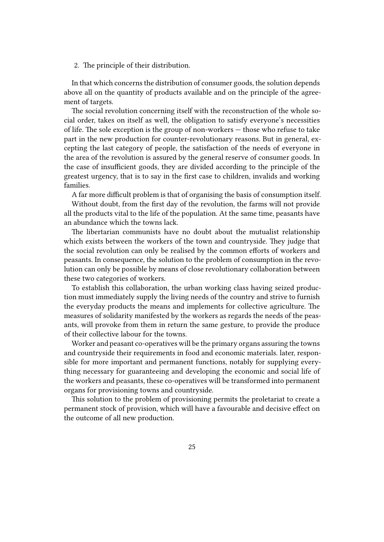2. The principle of their distribution.

In that which concerns the distribution of consumer goods, the solution depends above all on the quantity of products available and on the principle of the agreement of targets.

The social revolution concerning itself with the reconstruction of the whole social order, takes on itself as well, the obligation to satisfy everyone's necessities of life. The sole exception is the group of non-workers — those who refuse to take part in the new production for counter-revolutionary reasons. But in general, excepting the last category of people, the satisfaction of the needs of everyone in the area of the revolution is assured by the general reserve of consumer goods. In the case of insufficient goods, they are divided according to the principle of the greatest urgency, that is to say in the first case to children, invalids and working families.

A far more difficult problem is that of organising the basis of consumption itself.

Without doubt, from the first day of the revolution, the farms will not provide all the products vital to the life of the population. At the same time, peasants have an abundance which the towns lack.

The libertarian communists have no doubt about the mutualist relationship which exists between the workers of the town and countryside. They judge that the social revolution can only be realised by the common efforts of workers and peasants. In consequence, the solution to the problem of consumption in the revolution can only be possible by means of close revolutionary collaboration between these two categories of workers.

To establish this collaboration, the urban working class having seized production must immediately supply the living needs of the country and strive to furnish the everyday products the means and implements for collective agriculture. The measures of solidarity manifested by the workers as regards the needs of the peasants, will provoke from them in return the same gesture, to provide the produce of their collective labour for the towns.

Worker and peasant co-operatives will be the primary organs assuring the towns and countryside their requirements in food and economic materials. later, responsible for more important and permanent functions, notably for supplying everything necessary for guaranteeing and developing the economic and social life of the workers and peasants, these co-operatives will be transformed into permanent organs for provisioning towns and countryside.

This solution to the problem of provisioning permits the proletariat to create a permanent stock of provision, which will have a favourable and decisive effect on the outcome of all new production.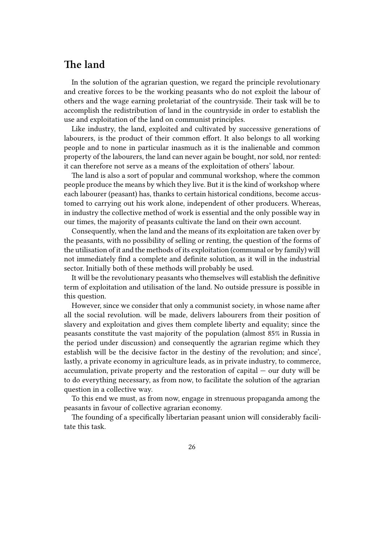# <span id="page-25-0"></span>**The land**

In the solution of the agrarian question, we regard the principle revolutionary and creative forces to be the working peasants who do not exploit the labour of others and the wage earning proletariat of the countryside. Their task will be to accomplish the redistribution of land in the countryside in order to establish the use and exploitation of the land on communist principles.

Like industry, the land, exploited and cultivated by successive generations of labourers, is the product of their common effort. It also belongs to all working people and to none in particular inasmuch as it is the inalienable and common property of the labourers, the land can never again be bought, nor sold, nor rented: it can therefore not serve as a means of the exploitation of others' labour.

The land is also a sort of popular and communal workshop, where the common people produce the means by which they live. But it is the kind of workshop where each labourer (peasant) has, thanks to certain historical conditions, become accustomed to carrying out his work alone, independent of other producers. Whereas, in industry the collective method of work is essential and the only possible way in our times, the majority of peasants cultivate the land on their own account.

Consequently, when the land and the means of its exploitation are taken over by the peasants, with no possibility of selling or renting, the question of the forms of the utilisation of it and the methods of its exploitation (communal or by family) will not immediately find a complete and definite solution, as it will in the industrial sector. Initially both of these methods will probably be used.

It will be the revolutionary peasants who themselves will establish the definitive term of exploitation and utilisation of the land. No outside pressure is possible in this question.

However, since we consider that only a communist society, in whose name after all the social revolution. will be made, delivers labourers from their position of slavery and exploitation and gives them complete liberty and equality; since the peasants constitute the vast majority of the population (almost 85% in Russia in the period under discussion) and consequently the agrarian regime which they establish will be the decisive factor in the destiny of the revolution; and since', lastly, a private economy in agriculture leads, as in private industry, to commerce, accumulation, private property and the restoration of capital — our duty will be to do everything necessary, as from now, to facilitate the solution of the agrarian question in a collective way.

To this end we must, as from now, engage in strenuous propaganda among the peasants in favour of collective agrarian economy.

The founding of a specifically libertarian peasant union will considerably facilitate this task.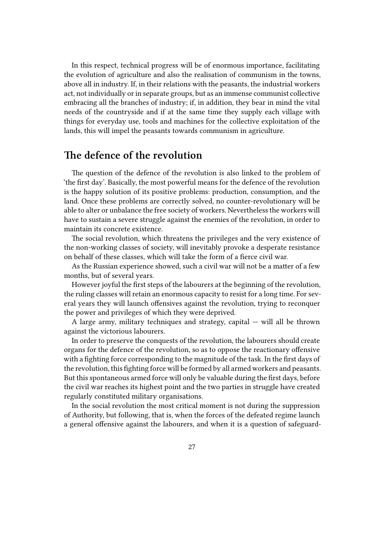In this respect, technical progress will be of enormous importance, facilitating the evolution of agriculture and also the realisation of communism in the towns, above all in industry. If, in their relations with the peasants, the industrial workers act, not individually or in separate groups, but as an immense communist collective embracing all the branches of industry; if, in addition, they bear in mind the vital needs of the countryside and if at the same time they supply each village with things for everyday use, tools and machines for the collective exploitation of the lands, this will impel the peasants towards communism in agriculture.

### <span id="page-26-0"></span>**The defence of the revolution**

The question of the defence of the revolution is also linked to the problem of 'the first day'. Basically, the most powerful means for the defence of the revolution is the happy solution of its positive problems: production, consumption, and the land. Once these problems are correctly solved, no counter-revolutionary will be able to alter or unbalance the free society of workers. Nevertheless the workers will have to sustain a severe struggle against the enemies of the revolution, in order to maintain its concrete existence.

The social revolution, which threatens the privileges and the very existence of the non-working classes of society, will inevitably provoke a desperate resistance on behalf of these classes, which will take the form of a fierce civil war.

As the Russian experience showed, such a civil war will not be a matter of a few months, but of several years.

However joyful the first steps of the labourers at the beginning of the revolution, the ruling classes will retain an enormous capacity to resist for a long time. For several years they will launch offensives against the revolution, trying to reconquer the power and privileges of which they were deprived.

A large army, military techniques and strategy, capital — will all be thrown against the victorious labourers.

In order to preserve the conquests of the revolution, the labourers should create organs for the defence of the revolution, so as to oppose the reactionary offensive with a fighting force corresponding to the magnitude of the task. In the first days of the revolution, this fighting force will be formed by all armed workers and peasants. But this spontaneous armed force will only be valuable during the first days, before the civil war reaches its highest point and the two parties in struggle have created regularly constituted military organisations.

In the social revolution the most critical moment is not during the suppression of Authority, but following, that is, when the forces of the defeated regime launch a general offensive against the labourers, and when it is a question of safeguard-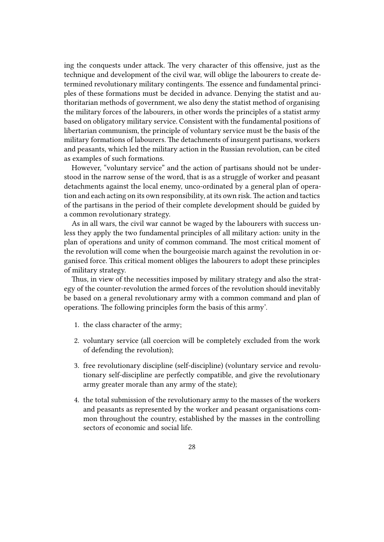ing the conquests under attack. The very character of this offensive, just as the technique and development of the civil war, will oblige the labourers to create determined revolutionary military contingents. The essence and fundamental principles of these formations must be decided in advance. Denying the statist and authoritarian methods of government, we also deny the statist method of organising the military forces of the labourers, in other words the principles of a statist army based on obligatory military service. Consistent with the fundamental positions of libertarian communism, the principle of voluntary service must be the basis of the military formations of labourers. The detachments of insurgent partisans, workers and peasants, which led the military action in the Russian revolution, can be cited as examples of such formations.

However, "voluntary service" and the action of partisans should not be understood in the narrow sense of the word, that is as a struggle of worker and peasant detachments against the local enemy, unco-ordinated by a general plan of operation and each acting on its own responsibility, at its own risk. The action and tactics of the partisans in the period of their complete development should be guided by a common revolutionary strategy.

As in all wars, the civil war cannot be waged by the labourers with success unless they apply the two fundamental principles of all military action: unity in the plan of operations and unity of common command. The most critical moment of the revolution will come when the bourgeoisie march against the revolution in organised force. This critical moment obliges the labourers to adopt these principles of military strategy.

Thus, in view of the necessities imposed by military strategy and also the strategy of the counter-revolution the armed forces of the revolution should inevitably be based on a general revolutionary army with a common command and plan of operations. The following principles form the basis of this army'.

- 1. the class character of the army;
- 2. voluntary service (all coercion will be completely excluded from the work of defending the revolution);
- 3. free revolutionary discipline (self-discipline) (voluntary service and revolutionary self-discipline are perfectly compatible, and give the revolutionary army greater morale than any army of the state);
- 4. the total submission of the revolutionary army to the masses of the workers and peasants as represented by the worker and peasant organisations common throughout the country, established by the masses in the controlling sectors of economic and social life.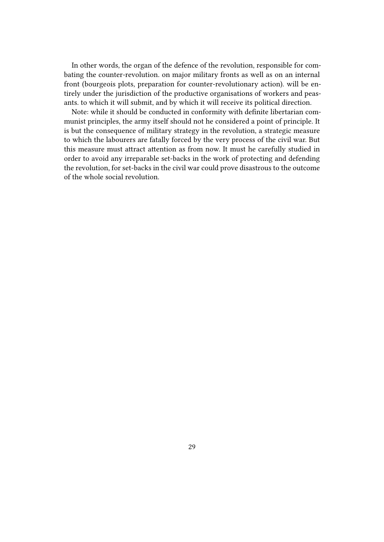In other words, the organ of the defence of the revolution, responsible for combating the counter-revolution. on major military fronts as well as on an internal front (bourgeois plots, preparation for counter-revolutionary action). will be entirely under the jurisdiction of the productive organisations of workers and peasants. to which it will submit, and by which it will receive its political direction.

Note: while it should be conducted in conformity with definite libertarian communist principles, the army itself should not he considered a point of principle. It is but the consequence of military strategy in the revolution, a strategic measure to which the labourers are fatally forced by the very process of the civil war. But this measure must attract attention as from now. It must he carefully studied in order to avoid any irreparable set-backs in the work of protecting and defending the revolution, for set-backs in the civil war could prove disastrous to the outcome of the whole social revolution.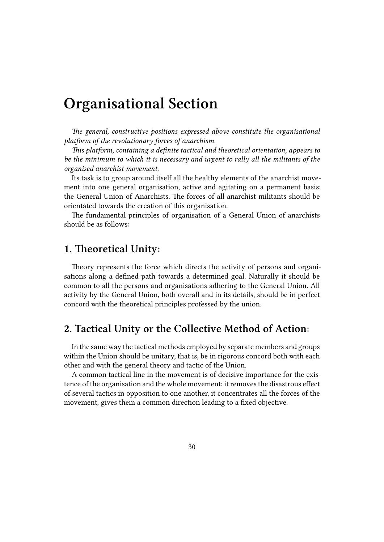# <span id="page-29-0"></span>**Organisational Section**

*The general, constructive positions expressed above constitute the organisational platform of the revolutionary forces of anarchism.*

*This platform, containing a definite tactical and theoretical orientation, appears to be the minimum to which it is necessary and urgent to rally all the militants of the organised anarchist movement.*

Its task is to group around itself all the healthy elements of the anarchist movement into one general organisation, active and agitating on a permanent basis: the General Union of Anarchists. The forces of all anarchist militants should be orientated towards the creation of this organisation.

The fundamental principles of organisation of a General Union of anarchists should be as follows:

#### <span id="page-29-1"></span>**1. Theoretical Unity:**

Theory represents the force which directs the activity of persons and organisations along a defined path towards a determined goal. Naturally it should be common to all the persons and organisations adhering to the General Union. All activity by the General Union, both overall and in its details, should be in perfect concord with the theoretical principles professed by the union.

#### **2. Tactical Unity or the Collective Method of Action:**

In the same way the tactical methods employed by separate members and groups within the Union should be unitary, that is, be in rigorous concord both with each other and with the general theory and tactic of the Union.

A common tactical line in the movement is of decisive importance for the existence of the organisation and the whole movement: it removes the disastrous effect of several tactics in opposition to one another, it concentrates all the forces of the movement, gives them a common direction leading to a fixed objective.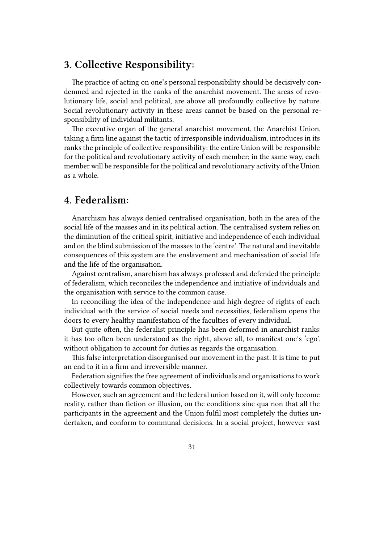## **3. Collective Responsibility:**

The practice of acting on one's personal responsibility should be decisively condemned and rejected in the ranks of the anarchist movement. The areas of revolutionary life, social and political, are above all profoundly collective by nature. Social revolutionary activity in these areas cannot be based on the personal responsibility of individual militants.

The executive organ of the general anarchist movement, the Anarchist Union, taking a firm line against the tactic of irresponsible individualism, introduces in its ranks the principle of collective responsibility: the entire Union will be responsible for the political and revolutionary activity of each member; in the same way, each member will be responsible for the political and revolutionary activity of the Union as a whole.

### **4. Federalism:**

Anarchism has always denied centralised organisation, both in the area of the social life of the masses and in its political action. The centralised system relies on the diminution of the critical spirit, initiative and independence of each individual and on the blind submission of the masses to the 'centre'.The natural and inevitable consequences of this system are the enslavement and mechanisation of social life and the life of the organisation.

Against centralism, anarchism has always professed and defended the principle of federalism, which reconciles the independence and initiative of individuals and the organisation with service to the common cause.

In reconciling the idea of the independence and high degree of rights of each individual with the service of social needs and necessities, federalism opens the doors to every healthy manifestation of the faculties of every individual.

But quite often, the federalist principle has been deformed in anarchist ranks: it has too often been understood as the right, above all, to manifest one's 'ego', without obligation to account for duties as regards the organisation.

This false interpretation disorganised our movement in the past. It is time to put an end to it in a firm and irreversible manner.

Federation signifies the free agreement of individuals and organisations to work collectively towards common objectives.

However, such an agreement and the federal union based on it, will only become reality, rather than fiction or illusion, on the conditions sine qua non that all the participants in the agreement and the Union fulfil most completely the duties undertaken, and conform to communal decisions. In a social project, however vast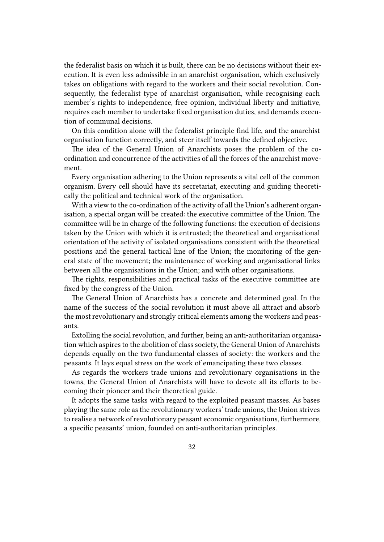the federalist basis on which it is built, there can be no decisions without their execution. It is even less admissible in an anarchist organisation, which exclusively takes on obligations with regard to the workers and their social revolution. Consequently, the federalist type of anarchist organisation, while recognising each member's rights to independence, free opinion, individual liberty and initiative, requires each member to undertake fixed organisation duties, and demands execution of communal decisions.

On this condition alone will the federalist principle find life, and the anarchist organisation function correctly, and steer itself towards the defined objective.

The idea of the General Union of Anarchists poses the problem of the coordination and concurrence of the activities of all the forces of the anarchist movement.

Every organisation adhering to the Union represents a vital cell of the common organism. Every cell should have its secretariat, executing and guiding theoretically the political and technical work of the organisation.

With a view to the co-ordination of the activity of all the Union's adherent organisation, a special organ will be created: the executive committee of the Union. The committee will be in charge of the following functions: the execution of decisions taken by the Union with which it is entrusted; the theoretical and organisational orientation of the activity of isolated organisations consistent with the theoretical positions and the general tactical line of the Union; the monitoring of the general state of the movement; the maintenance of working and organisational links between all the organisations in the Union; and with other organisations.

The rights, responsibilities and practical tasks of the executive committee are fixed by the congress of the Union.

The General Union of Anarchists has a concrete and determined goal. In the name of the success of the social revolution it must above all attract and absorb the most revolutionary and strongly critical elements among the workers and peasants.

Extolling the social revolution, and further, being an anti-authoritarian organisation which aspires to the abolition of class society, the General Union of Anarchists depends equally on the two fundamental classes of society: the workers and the peasants. It lays equal stress on the work of emancipating these two classes.

As regards the workers trade unions and revolutionary organisations in the towns, the General Union of Anarchists will have to devote all its efforts to becoming their pioneer and their theoretical guide.

It adopts the same tasks with regard to the exploited peasant masses. As bases playing the same role as the revolutionary workers' trade unions, the Union strives to realise a network of revolutionary peasant economic organisations, furthermore, a specific peasants' union, founded on anti-authoritarian principles.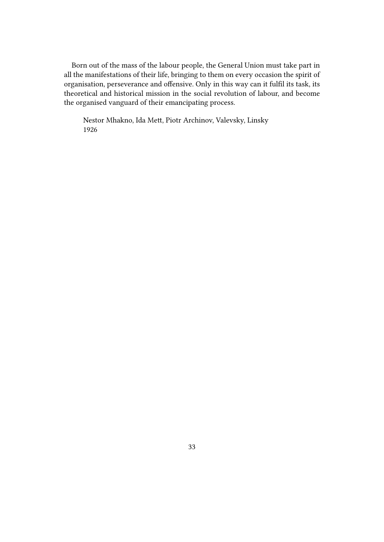Born out of the mass of the labour people, the General Union must take part in all the manifestations of their life, bringing to them on every occasion the spirit of organisation, perseverance and offensive. Only in this way can it fulfil its task, its theoretical and historical mission in the social revolution of labour, and become the organised vanguard of their emancipating process.

Nestor Mhakno, Ida Mett, Piotr Archinov, Valevsky, Linsky 1926